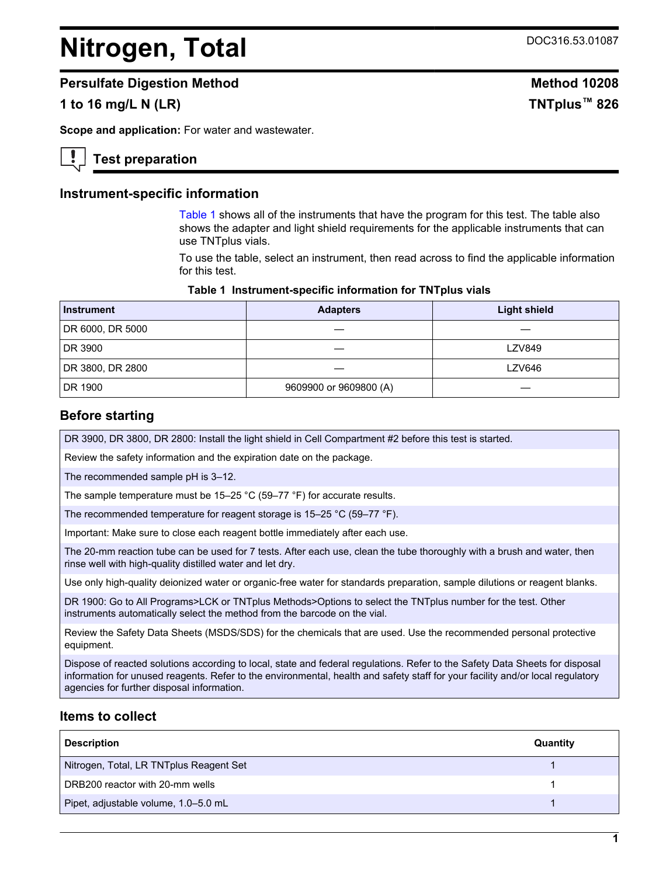# <span id="page-0-0"></span>**Nitrogen, Total** DOC316.53.01087

#### **Persulfate Digestion Method Method Method Method Method Method Method Method Method**

# **1 to 16 mg/L N (LR) TNTplus™ 826**

**Scope and application:** For water and wastewater.

#### **Test preparation**

#### **Instrument-specific information**

Table 1 shows all of the instruments that have the program for this test. The table also shows the adapter and light shield requirements for the applicable instruments that can use TNTplus vials.

To use the table, select an instrument, then read across to find the applicable information for this test.

#### **Table 1 Instrument-specific information for TNTplus vials**

| <b>Instrument</b> | <b>Adapters</b>        | <b>Light shield</b> |  |
|-------------------|------------------------|---------------------|--|
| DR 6000, DR 5000  |                        |                     |  |
| DR 3900           |                        | <b>LZV849</b>       |  |
| DR 3800, DR 2800  |                        | <b>LZV646</b>       |  |
| DR 1900           | 9609900 or 9609800 (A) |                     |  |

#### **Before starting**

DR 3900, DR 3800, DR 2800: Install the light shield in Cell Compartment #2 before this test is started.

Review the safety information and the expiration date on the package.

The recommended sample pH is 3–12.

The sample temperature must be 15–25 °C (59–77 °F) for accurate results.

The recommended temperature for reagent storage is 15–25 °C (59–77 °F).

Important: Make sure to close each reagent bottle immediately after each use.

The 20-mm reaction tube can be used for 7 tests. After each use, clean the tube thoroughly with a brush and water, then rinse well with high-quality distilled water and let dry.

Use only high-quality deionized water or organic-free water for standards preparation, sample dilutions or reagent blanks.

DR 1900: Go to All Programs>LCK or TNTplus Methods>Options to select the TNTplus number for the test. Other instruments automatically select the method from the barcode on the vial.

Review the Safety Data Sheets (MSDS/SDS) for the chemicals that are used. Use the recommended personal protective equipment.

Dispose of reacted solutions according to local, state and federal regulations. Refer to the Safety Data Sheets for disposal information for unused reagents. Refer to the environmental, health and safety staff for your facility and/or local regulatory agencies for further disposal information.

#### **Items to collect**

| <b>Description</b>                      | Quantity |
|-----------------------------------------|----------|
| Nitrogen, Total, LR TNTplus Reagent Set |          |
| DRB200 reactor with 20-mm wells         |          |
| Pipet, adjustable volume, 1.0-5.0 mL    |          |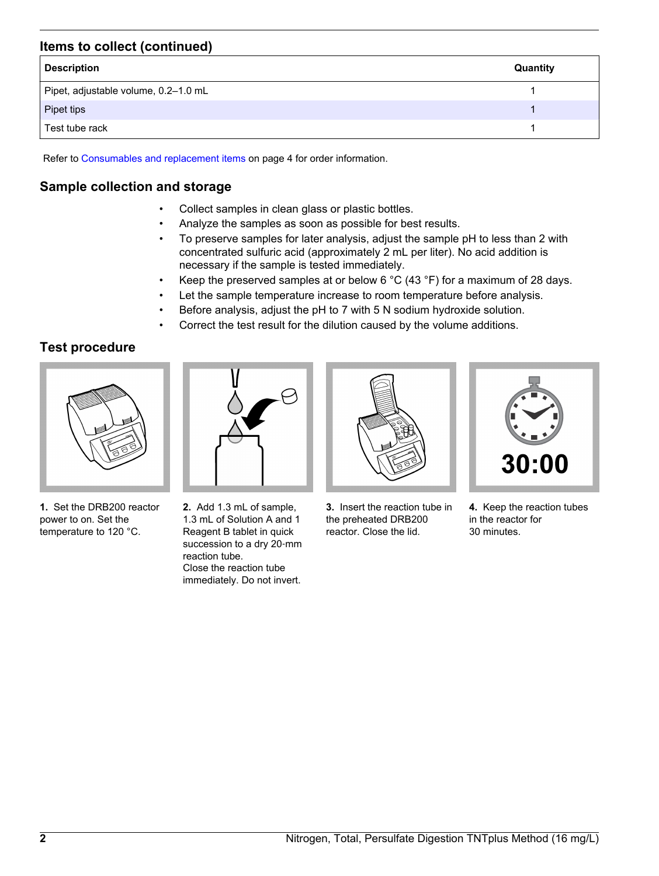# **Items to collect (continued)**

| <b>Description</b>                   | Quantity |
|--------------------------------------|----------|
| Pipet, adjustable volume, 0.2-1.0 mL |          |
| Pipet tips                           |          |
| Test tube rack                       |          |

Refer to [Consumables and replacement items](#page-3-0) on page 4 for order information.

# **Sample collection and storage**

- Collect samples in clean glass or plastic bottles.
- Analyze the samples as soon as possible for best results.
- To preserve samples for later analysis, adjust the sample pH to less than 2 with concentrated sulfuric acid (approximately 2 mL per liter). No acid addition is necessary if the sample is tested immediately.
- Keep the preserved samples at or below 6 °C (43 °F) for a maximum of 28 days.
- Let the sample temperature increase to room temperature before analysis.
- Before analysis, adjust the pH to 7 with 5 N sodium hydroxide solution.
- Correct the test result for the dilution caused by the volume additions.

# **Test procedure**



**1.** Set the DRB200 reactor power to on. Set the temperature to 120 °C.



**2.** Add 1.3 mL of sample, 1.3 mL of Solution A and 1 Reagent B tablet in quick succession to a dry 20-mm reaction tube. Close the reaction tube immediately. Do not invert.



**3.** Insert the reaction tube in the preheated DRB200 reactor. Close the lid.



**4.** Keep the reaction tubes in the reactor for 30 minutes.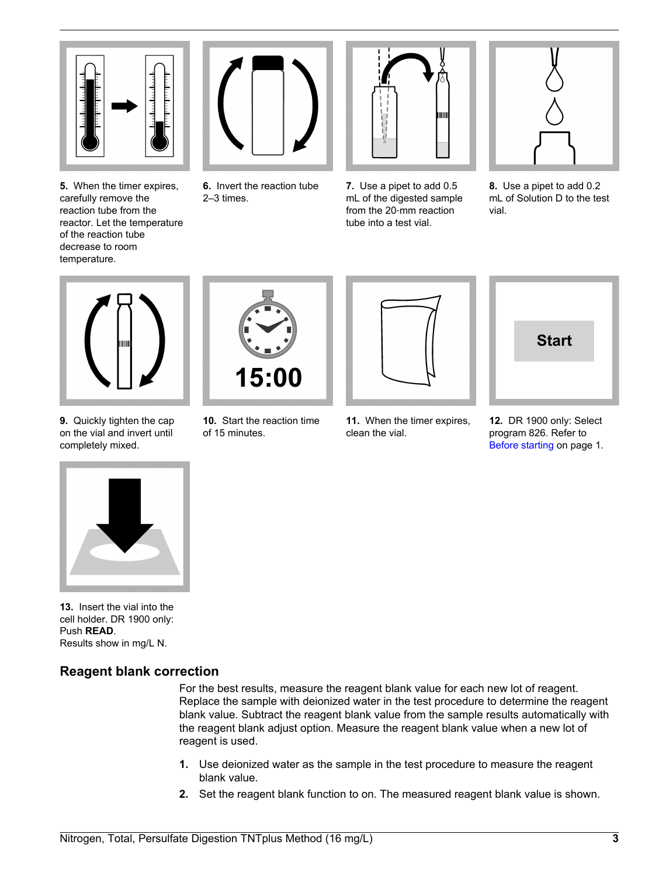

**5.** When the timer expires, carefully remove the reaction tube from the reactor. Let the temperature of the reaction tube decrease to room temperature.



**6.** Invert the reaction tube 2–3 times.



**7.** Use a pipet to add 0.5 mL of the digested sample from the 20‑mm reaction tube into a test vial.



**8.** Use a pipet to add 0.2 mL of Solution D to the test vial.



**9.** Quickly tighten the cap on the vial and invert until completely mixed.



**10.** Start the reaction time of 15 minutes.



**11.** When the timer expires,

clean the vial.



**12.** DR 1900 only: Select program 826. Refer to [Before starting](#page-0-0) on page 1.



**13.** Insert the vial into the cell holder. DR 1900 only: Push **READ**. Results show in mg/L N.

# **Reagent blank correction**

For the best results, measure the reagent blank value for each new lot of reagent. Replace the sample with deionized water in the test procedure to determine the reagent blank value. Subtract the reagent blank value from the sample results automatically with the reagent blank adjust option. Measure the reagent blank value when a new lot of reagent is used.

- **1.** Use deionized water as the sample in the test procedure to measure the reagent blank value.
- **2.** Set the reagent blank function to on. The measured reagent blank value is shown.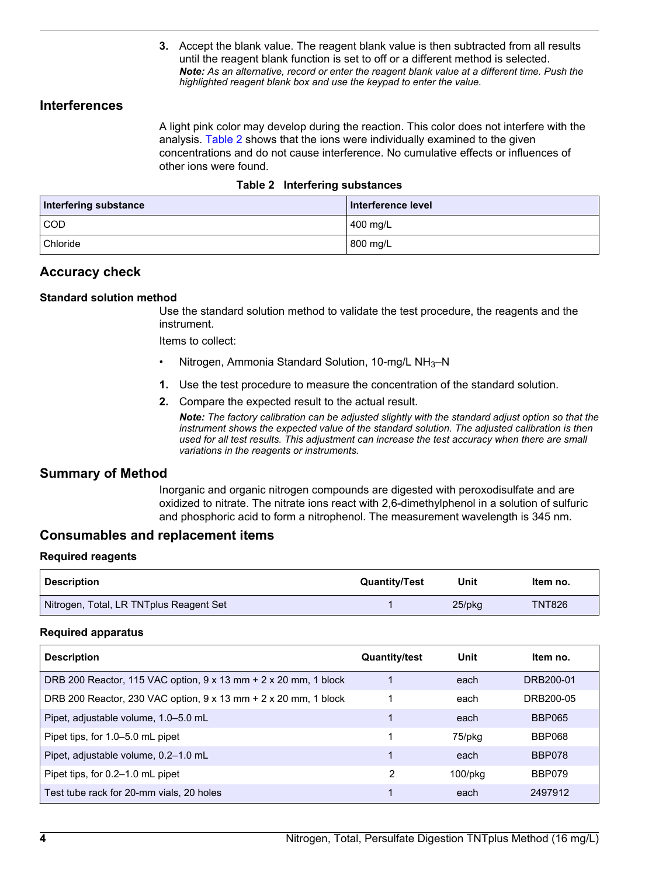**3.** Accept the blank value. The reagent blank value is then subtracted from all results until the reagent blank function is set to off or a different method is selected. *Note: As an alternative, record or enter the reagent blank value at a different time. Push the highlighted reagent blank box and use the keypad to enter the value.*

#### <span id="page-3-0"></span>**Interferences**

A light pink color may develop during the reaction. This color does not interfere with the analysis. Table 2 shows that the ions were individually examined to the given concentrations and do not cause interference. No cumulative effects or influences of other ions were found.

|  |  | Table 2 Interfering substances |
|--|--|--------------------------------|
|--|--|--------------------------------|

| Interfering substance | Interference level |  |
|-----------------------|--------------------|--|
| COD                   | 400 mg/L           |  |
| <sup>1</sup> Chloride | 800 mg/L           |  |

# **Accuracy check**

#### **Standard solution method**

Use the standard solution method to validate the test procedure, the reagents and the instrument.

Items to collect:

- Nitrogen, Ammonia Standard Solution, 10-mg/L NH3–N
- **1.** Use the test procedure to measure the concentration of the standard solution.
- **2.** Compare the expected result to the actual result.

*Note: The factory calibration can be adjusted slightly with the standard adjust option so that the instrument shows the expected value of the standard solution. The adjusted calibration is then used for all test results. This adjustment can increase the test accuracy when there are small variations in the reagents or instruments.*

#### **Summary of Method**

Inorganic and organic nitrogen compounds are digested with peroxodisulfate and are oxidized to nitrate. The nitrate ions react with 2,6-dimethylphenol in a solution of sulfuric and phosphoric acid to form a nitrophenol. The measurement wavelength is 345 nm.

#### **Consumables and replacement items**

#### **Required reagents**

| <b>Description</b>                      | <b>Quantity/Test</b> | Unit   | Item no.      |
|-----------------------------------------|----------------------|--------|---------------|
| Nitrogen, Total, LR TNTplus Reagent Set |                      | 25/pkg | <b>TNT826</b> |

#### **Required apparatus**

| <b>Description</b>                                              | <b>Quantity/test</b> | Unit          | Item no.      |
|-----------------------------------------------------------------|----------------------|---------------|---------------|
| DRB 200 Reactor, 115 VAC option, 9 x 13 mm + 2 x 20 mm, 1 block |                      | each          | DRB200-01     |
| DRB 200 Reactor, 230 VAC option, 9 x 13 mm + 2 x 20 mm, 1 block |                      | each          | DRB200-05     |
| Pipet, adjustable volume, 1.0-5.0 mL                            |                      | each          | <b>BBP065</b> |
| Pipet tips, for 1.0–5.0 mL pipet                                |                      | 75/pkg        | <b>BBP068</b> |
| Pipet, adjustable volume, 0.2-1.0 mL                            |                      | each          | <b>BBP078</b> |
| Pipet tips, for 0.2–1.0 mL pipet                                | 2                    | $100$ /p $ka$ | BBP079        |
| Test tube rack for 20-mm vials, 20 holes                        |                      | each          | 2497912       |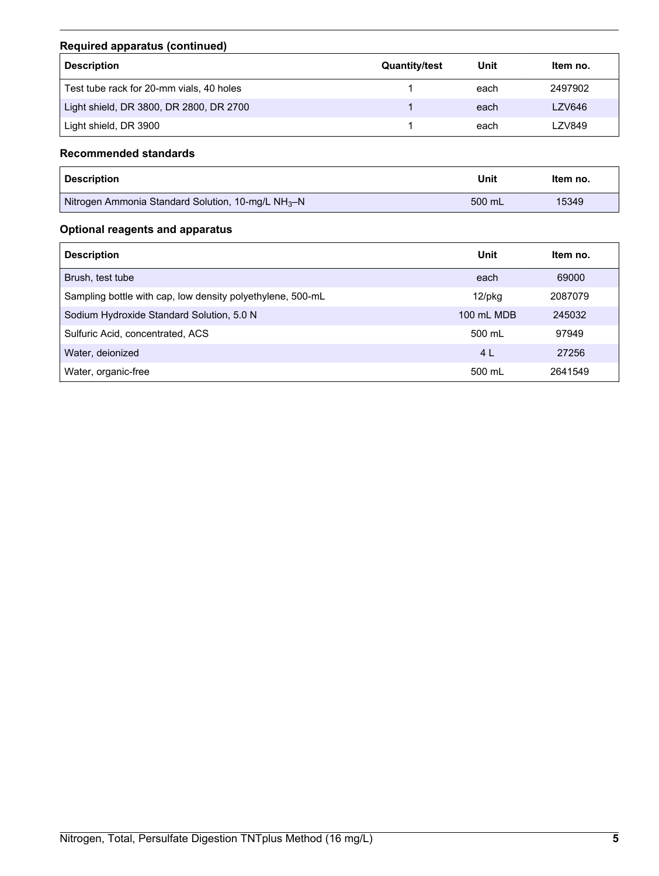# **Required apparatus (continued)**

| <b>Description</b>                       | <b>Quantity/test</b> | Unit | Item no. |
|------------------------------------------|----------------------|------|----------|
| Test tube rack for 20-mm vials, 40 holes |                      | each | 2497902  |
| Light shield, DR 3800, DR 2800, DR 2700  |                      | each | LZV646   |
| Light shield, DR 3900                    |                      | each | LZV849   |

# **Recommended standards**

| <b>Description</b>                                             | Unit   | Item no. |
|----------------------------------------------------------------|--------|----------|
| Nitrogen Ammonia Standard Solution, 10-mg/L NH <sub>3</sub> -N | 500 mL | 15349    |

# **Optional reagents and apparatus**

| <b>Description</b>                                         | Unit       | Item no. |
|------------------------------------------------------------|------------|----------|
| Brush, test tube                                           | each       | 69000    |
| Sampling bottle with cap, low density polyethylene, 500-mL | $12$ /pkg  | 2087079  |
| Sodium Hydroxide Standard Solution, 5.0 N                  | 100 mL MDB | 245032   |
| Sulfuric Acid, concentrated, ACS                           | 500 mL     | 97949    |
| Water, deionized                                           | 4 L        | 27256    |
| Water, organic-free                                        | 500 mL     | 2641549  |